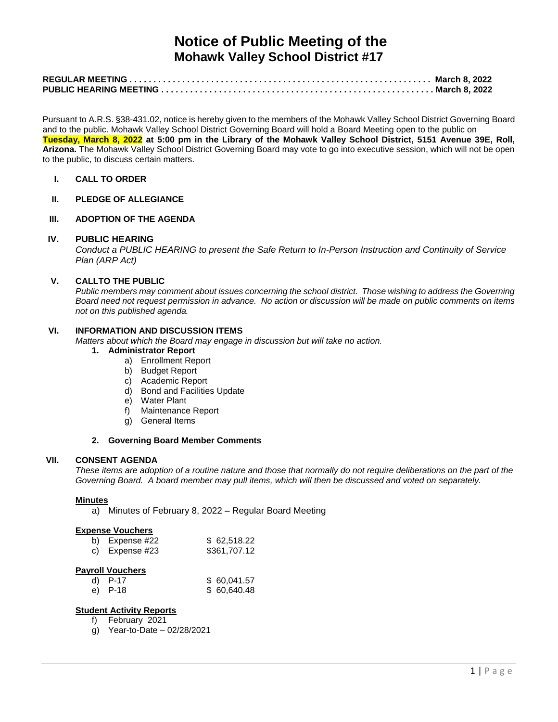# **Notice of Public Meeting of the Mohawk Valley School District #17**

Pursuant to A.R.S. §38-431.02, notice is hereby given to the members of the Mohawk Valley School District Governing Board and to the public. Mohawk Valley School District Governing Board will hold a Board Meeting open to the public on **Tuesday, March 8, 2022 at 5:00 pm in the Library of the Mohawk Valley School District, 5151 Avenue 39E, Roll, Arizona.** The Mohawk Valley School District Governing Board may vote to go into executive session, which will not be open to the public, to discuss certain matters.

**I. CALL TO ORDER**

## **II. PLEDGE OF ALLEGIANCE**

## **III. ADOPTION OF THE AGENDA**

#### **IV. PUBLIC HEARING**

*Conduct a PUBLIC HEARING to present the Safe Return to In-Person Instruction and Continuity of Service Plan (ARP Act)*

## **V. CALLTO THE PUBLIC**

*Public members may comment about issues concerning the school district. Those wishing to address the Governing Board need not request permission in advance. No action or discussion will be made on public comments on items not on this published agenda.*

## **VI. INFORMATION AND DISCUSSION ITEMS**

*Matters about which the Board may engage in discussion but will take no action.* 

# **1. Administrator Report**

- a) Enrollment Report
- b) Budget Report
- c) Academic Report
- d) Bond and Facilities Update
- e) Water Plant
- f) Maintenance Report
- g) General Items

#### **2. Governing Board Member Comments**

#### **VII. CONSENT AGENDA**

*These items are adoption of a routine nature and those that normally do not require deliberations on the part of the Governing Board. A board member may pull items, which will then be discussed and voted on separately.*

#### **Minutes**

a) Minutes of February 8, 2022 – Regular Board Meeting

#### **Expense Vouchers**

| b) Expense $#22$ | \$62,518.22  |
|------------------|--------------|
| c) Expense $#23$ | \$361,707.12 |

## **Payroll Vouchers**

| d) P-17 | \$60,041.57 |
|---------|-------------|
| e) P-18 | \$60,640.48 |

## **Student Activity Reports**

- f) February 2021
- g) Year-to-Date 02/28/2021